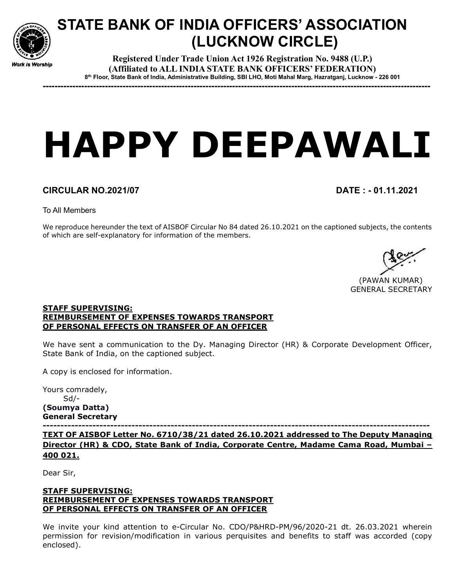

# STATE BANK OF INDIA OFFICERS' ASSOCIATION (LUCKNOW CIRCLE)

Registered Under Trade Union Act 1926 Registration No. 9488 (U.P.) (Affiliated to ALL INDIA STATE BANK OFFICERS' FEDERATION) 8 th Floor, State Bank of India, Administrative Building, SBI LHO, Moti Mahal Marg, Hazratganj, Lucknow - 226 001

-----------------------------------------------------------------------------------------------------------------------------------

# HAPPY DEEPAWALI

## CIRCULAR NO.2021/07 DATE : - 01.11.2021

To All Members

We reproduce hereunder the text of AISBOF Circular No 84 dated 26.10.2021 on the captioned subjects, the contents of which are self-explanatory for information of the members.

 (PAWAN KUMAR) GENERAL SECRETARY

#### STAFF SUPERVISING: REIMBURSEMENT OF EXPENSES TOWARDS TRANSPORT OF PERSONAL EFFECTS ON TRANSFER OF AN OFFICER

We have sent a communication to the Dy. Managing Director (HR) & Corporate Development Officer, State Bank of India, on the captioned subject.

A copy is enclosed for information.

Yours comradely, Sd/- (Soumya Datta) General Secretary

------------------------------------------------------------------------------------------------------------- TEXT OF AISBOF Letter No. 6710/38/21 dated 26.10.2021 addressed to The Deputy Managing Director (HR) & CDO, State Bank of India, Corporate Centre, Madame Cama Road, Mumbai – 400 021.

Dear Sir,

### STAFF SUPERVISING: REIMBURSEMENT OF EXPENSES TOWARDS TRANSPORT OF PERSONAL EFFECTS ON TRANSFER OF AN OFFICER

We invite your kind attention to e-Circular No. CDO/P&HRD-PM/96/2020-21 dt. 26.03.2021 wherein permission for revision/modification in various perquisites and benefits to staff was accorded (copy enclosed).